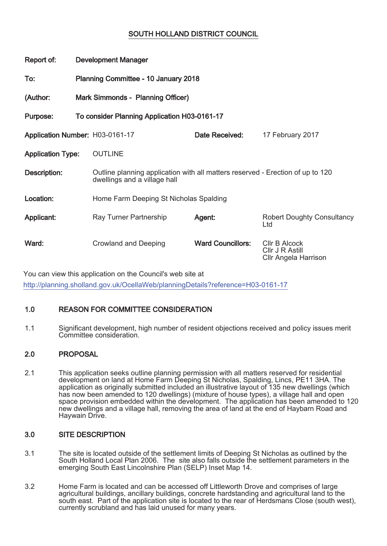# SOUTH HOLLAND DISTRICT COUNCIL

| Report of:                      |                                      | <b>Development Manager</b>                                                                                     |                          |                                                                 |
|---------------------------------|--------------------------------------|----------------------------------------------------------------------------------------------------------------|--------------------------|-----------------------------------------------------------------|
| To:                             | Planning Committee - 10 January 2018 |                                                                                                                |                          |                                                                 |
| (Author:                        | Mark Simmonds - Planning Officer)    |                                                                                                                |                          |                                                                 |
| Purpose:                        |                                      | To consider Planning Application H03-0161-17                                                                   |                          |                                                                 |
| Application Number: H03-0161-17 |                                      |                                                                                                                | Date Received:           | 17 February 2017                                                |
| <b>Application Type:</b>        |                                      | <b>OUTLINE</b>                                                                                                 |                          |                                                                 |
| Description:                    |                                      | Outline planning application with all matters reserved - Erection of up to 120<br>dwellings and a village hall |                          |                                                                 |
| Location:                       |                                      | Home Farm Deeping St Nicholas Spalding                                                                         |                          |                                                                 |
| Applicant:                      |                                      | Ray Turner Partnership                                                                                         | Agent:                   | <b>Robert Doughty Consultancy</b><br>Ltd                        |
| Ward:                           |                                      | <b>Crowland and Deeping</b>                                                                                    | <b>Ward Councillors:</b> | <b>CIIr B Alcock</b><br>Cllr J R Astill<br>Cllr Angela Harrison |

You can view this application on the Council's web site at http://planning.sholland.gov.uk/OcellaWeb/planningDetails?reference=H03-0161-17

# 1.0 REASON FOR COMMITTEE CONSIDERATION

1.1 Significant development, high number of resident objections received and policy issues merit Committee consideration.

# 2.0 PROPOSAL

2.1 This application seeks outline planning permission with all matters reserved for residential development on land at Home Farm Deeping St Nicholas, Spalding, Lincs, PE11 3HA. The application as originally submitted included an illustrative layout of 135 new dwellings (which has now been amended to 120 dwellings) (mixture of house types), a village hall and open space provision embedded within the development. The application has been amended to 120 new dwellings and a village hall, removing the area of land at the end of Haybarn Road and Haywain Drive.

## 3.0 SITE DESCRIPTION

- 3.1 The site is located outside of the settlement limits of Deeping St Nicholas as outlined by the South Holland Local Plan 2006. The site also falls outside the settlement parameters in the emerging South East Lincolnshire Plan (SELP) Inset Map 14.
- 3.2 Home Farm is located and can be accessed off Littleworth Drove and comprises of large agricultural buildings, ancillary buildings, concrete hardstanding and agricultural land to the south east. Part of the application site is located to the rear of Herdsmans Close (south west), currently scrubland and has laid unused for many years.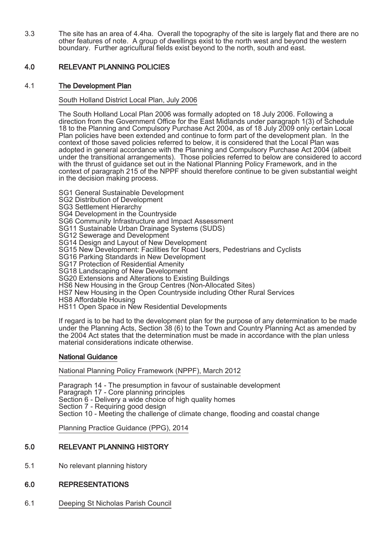3.3 The site has an area of 4.4ha. Overall the topography of the site is largely flat and there are no other features of note. A group of dwellings exist to the north west and beyond the western boundary. Further agricultural fields exist beyond to the north, south and east.

# 4.0 RELEVANT PLANNING POLICIES

## 4.1 The Development Plan

## South Holland District Local Plan, July 2006

The South Holland Local Plan 2006 was formally adopted on 18 July 2006. Following a direction from the Government Office for the East Midlands under paragraph 1(3) of Schedule 18 to the Planning and Compulsory Purchase Act 2004, as of 18 July 2009 only certain Local Plan policies have been extended and continue to form part of the development plan. In the context of those saved policies referred to below, it is considered that the Local Plan was adopted in general accordance with the Planning and Compulsory Purchase Act 2004 (albeit under the transitional arrangements). Those policies referred to below are considered to accord with the thrust of guidance set out in the National Planning Policy Framework, and in the context of paragraph 215 of the NPPF should therefore continue to be given substantial weight in the decision making process.

SG1 General Sustainable Development

SG2 Distribution of Development

SG3 Settlement Hierarchy

SG4 Development in the Countryside

SG6 Community Infrastructure and Impact Assessment

SG11 Sustainable Urban Drainage Systems (SUDS)

SG12 Sewerage and Development

SG14 Design and Layout of New Development

SG15 New Development: Facilities for Road Users, Pedestrians and Cyclists

SG16 Parking Standards in New Development

SG17 Protection of Residential Amenity

SG18 Landscaping of New Development

SG20 Extensions and Alterations to Existing Buildings

HS6 New Housing in the Group Centres (Non-Allocated Sites)

HS7 New Housing in the Open Countryside including Other Rural Services

HS8 Affordable Housing

HS11 Open Space in New Residential Developments

If regard is to be had to the development plan for the purpose of any determination to be made under the Planning Acts, Section 38 (6) to the Town and Country Planning Act as amended by the 2004 Act states that the determination must be made in accordance with the plan unless material considerations indicate otherwise.

## National Guidance

National Planning Policy Framework (NPPF), March 2012

Paragraph 14 - The presumption in favour of sustainable development Paragraph 17 - Core planning principles Section 6 - Delivery a wide choice of high quality homes Section 7 - Requiring good design Section 10 - Meeting the challenge of climate change, flooding and coastal change

Planning Practice Guidance (PPG), 2014

# 5.0 RELEVANT PLANNING HISTORY

5.1 No relevant planning history

## 6.0 REPRESENTATIONS

6.1 Deeping St Nicholas Parish Council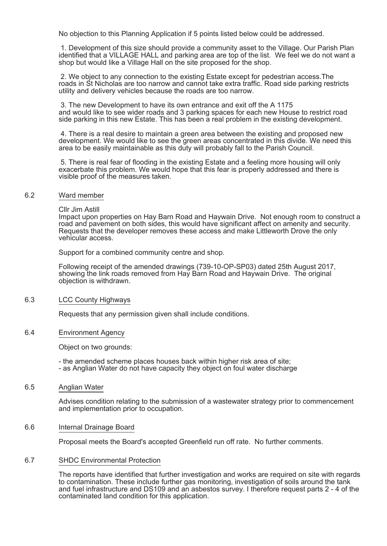No objection to this Planning Application if 5 points listed below could be addressed.

1. Development of this size should provide a community asset to the Village. Our Parish Plan identified that a VILLAGE HALL and parking area are top of the list. We feel we do not want a shop but would like a Village Hall on the site proposed for the shop.

2. We object to any connection to the existing Estate except for pedestrian access.The roads in St Nicholas are too narrow and cannot take extra traffic. Road side parking restricts utility and delivery vehicles because the roads are too narrow.

3. The new Development to have its own entrance and exit off the A 1175 and would like to see wider roads and 3 parking spaces for each new House to restrict road side parking in this new Estate. This has been a real problem in the existing development.

4. There is a real desire to maintain a green area between the existing and proposed new development. We would like to see the green areas concentrated in this divide. We need this area to be easily maintainable as this duty will probably fall to the Parish Council.

5. There is real fear of flooding in the existing Estate and a feeling more housing will only exacerbate this problem. We would hope that this fear is properly addressed and there is visible proof of the measures taken.

#### 6.2 Ward member

Cllr Jim Astill

Impact upon properties on Hay Barn Road and Haywain Drive. Not enough room to construct a road and pavement on both sides, this would have significant affect on amenity and security. Requests that the developer removes these access and make Littleworth Drove the only vehicular access.

Support for a combined community centre and shop.

Following receipt of the amended drawings (739-10-OP-SP03) dated 25th August 2017, showing the link roads removed from Hay Barn Road and Haywain Drive. The original objection is withdrawn.

### 6.3 LCC County Highways

Requests that any permission given shall include conditions.

### 6.4 Environment Agency

Object on two grounds:

- the amended scheme places houses back within higher risk area of site;

- as Anglian Water do not have capacity they object on foul water discharge
- 6.5 Anglian Water

Advises condition relating to the submission of a wastewater strategy prior to commencement and implementation prior to occupation.

### 6.6 Internal Drainage Board

Proposal meets the Board's accepted Greenfield run off rate. No further comments.

### 6.7 SHDC Environmental Protection

The reports have identified that further investigation and works are required on site with regards to contamination. These include further gas monitoring, investigation of soils around the tank and fuel infrastructure and DS109 and an asbestos survey. I therefore request parts 2 - 4 of the contaminated land condition for this application.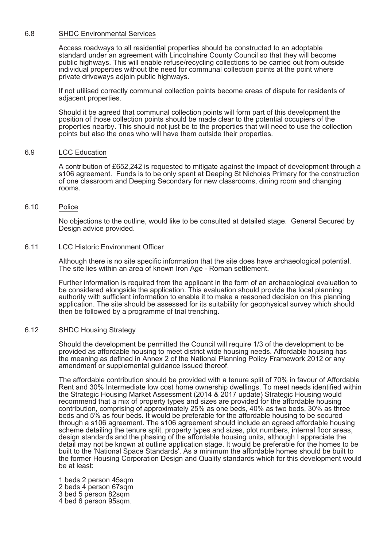#### 6.8 SHDC Environmental Services

Access roadways to all residential properties should be constructed to an adoptable standard under an agreement with Lincolnshire County Council so that they will become public highways. This will enable refuse/recycling collections to be carried out from outside individual properties without the need for communal collection points at the point where private driveways adjoin public highways.

If not utilised correctly communal collection points become areas of dispute for residents of adjacent properties.

Should it be agreed that communal collection points will form part of this development the position of those collection points should be made clear to the potential occupiers of the properties nearby. This should not just be to the properties that will need to use the collection points but also the ones who will have them outside their properties.

#### 6.9 LCC Education

A contribution of £652,242 is requested to mitigate against the impact of development through a s106 agreement. Funds is to be only spent at Deeping St Nicholas Primary for the construction of one classroom and Deeping Secondary for new classrooms, dining room and changing rooms.

### 6.10 Police

No objections to the outline, would like to be consulted at detailed stage. General Secured by Design advice provided.

### 6.11 LCC Historic Environment Officer

Although there is no site specific information that the site does have archaeological potential. The site lies within an area of known Iron Age - Roman settlement.

Further information is required from the applicant in the form of an archaeological evaluation to be considered alongside the application. This evaluation should provide the local planning authority with sufficient information to enable it to make a reasoned decision on this planning application. The site should be assessed for its suitability for geophysical survey which should then be followed by a programme of trial trenching.

#### 6.12 SHDC Housing Strategy

Should the development be permitted the Council will require 1/3 of the development to be provided as affordable housing to meet district wide housing needs. Affordable housing has the meaning as defined in Annex 2 of the National Planning Policy Framework 2012 or any amendment or supplemental guidance issued thereof.

The affordable contribution should be provided with a tenure split of 70% in favour of Affordable Rent and 30% Intermediate low cost home ownership dwellings. To meet needs identified within the Strategic Housing Market Assessment (2014 & 2017 update) Strategic Housing would recommend that a mix of property types and sizes are provided for the affordable housing contribution, comprising of approximately 25% as one beds, 40% as two beds, 30% as three beds and 5% as four beds. It would be preferable for the affordable housing to be secured through a s106 agreement. The s106 agreement should include an agreed affordable housing scheme detailing the tenure split, property types and sizes, plot numbers, internal floor areas, design standards and the phasing of the affordable housing units, although I appreciate the detail may not be known at outline application stage. It would be preferable for the homes to be built to the 'National Space Standards'. As a minimum the affordable homes should be built to the former Housing Corporation Design and Quality standards which for this development would be at least:

1 beds 2 person 45sqm 2 beds 4 person 67sqm 3 bed 5 person 82sqm 4 bed 6 person 95sqm.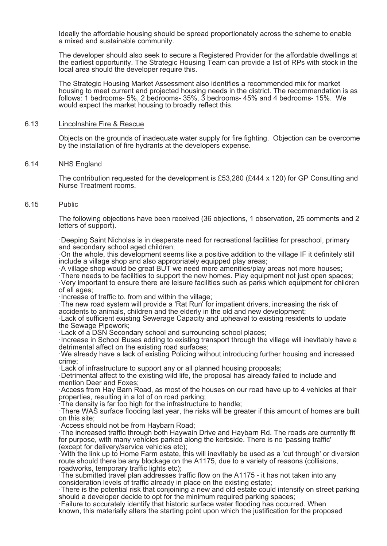Ideally the affordable housing should be spread proportionately across the scheme to enable a mixed and sustainable community.

The developer should also seek to secure a Registered Provider for the affordable dwellings at the earliest opportunity. The Strategic Housing Team can provide a list of RPs with stock in the local area should the developer require this.

The Strategic Housing Market Assessment also identifies a recommended mix for market housing to meet current and projected housing needs in the district. The recommendation is as follows: 1 bedrooms- 5%, 2 bedrooms- 35%, 3 bedrooms- 45% and 4 bedrooms- 15%. We would expect the market housing to broadly reflect this.

#### 6.13 Lincolnshire Fire & Rescue

Objects on the grounds of inadequate water supply for fire fighting. Objection can be overcome by the installation of fire hydrants at the developers expense.

#### 6.14 NHS England

The contribution requested for the development is £53,280 (£444 x 120) for GP Consulting and Nurse Treatment rooms.

## 6.15 Public

The following objections have been received (36 objections, 1 observation, 25 comments and 2 letters of support).

·Deeping Saint Nicholas is in desperate need for recreational facilities for preschool, primary and secondary school aged children;

·On the whole, this development seems like a positive addition to the village IF it definitely still include a village shop and also appropriately equipped play areas;

·A village shop would be great BUT we need more amenities/play areas not more houses;

·There needs to be facilities to support the new homes. Play equipment not just open spaces;

·Very important to ensure there are leisure facilities such as parks which equipment for children of all ages;

·Increase of traffic to. from and within the village;

·The new road system will provide a 'Rat Run' for impatient drivers, increasing the risk of accidents to animals, children and the elderly in the old and new development;

·Lack of sufficient existing Sewerage Capacity and upheaval to existing residents to update the Sewage Pipework;

·Lack of a DSN Secondary school and surrounding school places;

·Increase in School Buses adding to existing transport through the village will inevitably have a detrimental affect on the existing road surfaces;

·We already have a lack of existing Policing without introducing further housing and increased crime;

·Lack of infrastructure to support any or all planned housing proposals;

·Detrimental affect to the existing wild life, the proposal has already failed to include and mention Deer and Foxes;

·Access from Hay Barn Road, as most of the houses on our road have up to 4 vehicles at their properties, resulting in a lot of on road parking;

·The density is far too high for the infrastructure to handle;

·There WAS surface flooding last year, the risks will be greater if this amount of homes are built on this site;

·Access should not be from Haybarn Road;

·The increased traffic through both Haywain Drive and Haybarn Rd. The roads are currently fit for purpose, with many vehicles parked along the kerbside. There is no 'passing traffic' (except for delivery/service vehicles etc);

·With the link up to Home Farm estate, this will inevitably be used as a 'cut through' or diversion route should there be any blockage on the A1175, due to a variety of reasons (collisions, roadworks, temporary traffic lights etc);

·The submitted travel plan addresses traffic flow on the A1175 - it has not taken into any consideration levels of traffic already in place on the existing estate;

·There is the potential risk that conjoining a new and old estate could intensify on street parking should a developer decide to opt for the minimum required parking spaces;

·Failure to accurately identify that historic surface water flooding has occurred. When known, this materially alters the starting point upon which the justification for the proposed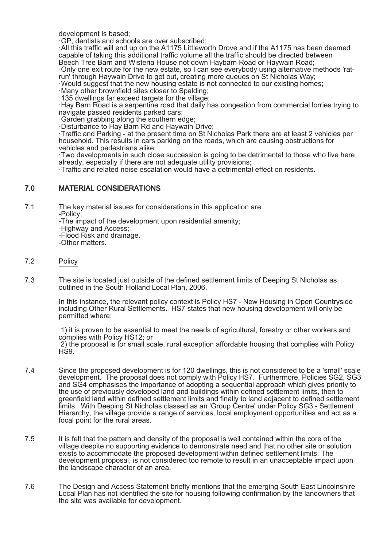development is based;

·GP, dentists and schools are over subscribed;

·All this traffic will end up on the A1175 Littleworth Drove and if the A1175 has been deemed capable of taking this additional traffic volume all the traffic should be directed between Beech Tree Barn and Wisteria House not down Haybarn Road or Haywain Road;

·Only one exit route for the new estate, so I can see everybody using alternative methods 'ratrun' through Haywain Drive to get out, creating more queues on St Nicholas Way;

·Would suggest that the new housing estate is not connected to our existing homes;

·Many other brownfield sites closer to Spalding; ·135 dwellings far exceed targets for the village;

·Hay Barn Road is a serpentine road that daily has congestion from commercial lorries trying to navigate passed residents parked cars;

·Garden grabbing along the southern edge;

·Disturbance to Hay Barn Rd and Haywain Drive;

·Traffic and Parking - at the present time on St Nicholas Park there are at least 2 vehicles per household. This results in cars parking on the roads, which are causing obstructions for vehicles and pedestrians alike;

·Two developments in such close succession is going to be detrimental to those who live here already, especially if there are not adequate utility provisions;

·Traffic and related noise escalation would have a detrimental effect on residents.

## 7.0 MATERIAL CONSIDERATIONS

7.1 The key material issues for considerations in this application are: -Policy;

-The impact of the development upon residential amenity;

-Highway and Access;

-Flood Risk and drainage.

-Other matters.

# 7.2 Policy

7.3 The site is located just outside of the defined settlement limits of Deeping St Nicholas as outlined in the South Holland Local Plan, 2006.

> In this instance, the relevant policy context is Policy HS7 - New Housing in Open Countryside including Other Rural Settlements. HS7 states that new housing development will only be permitted where:

> 1) it is proven to be essential to meet the needs of agricultural, forestry or other workers and complies with Policy HS12; or 2) the proposal is for small scale, rural exception affordable housing that complies with Policy HS9.

- 7.4 Since the proposed development is for 120 dwellings, this is not considered to be a 'small' scale development. The proposal does not comply with Policy HS7. Furthermore, Policies SG2, SG3 and SG4 emphasises the importance of adopting a sequential approach which gives priority to the use of previously developed land and buildings within defined settlement limits, then to greenfield land within defined settlement limits and finally to land adjacent to defined settlement limits. With Deeping St Nicholas classed as an 'Group Centre' under Policy SG3 - Settlement Hierarchy, the village provide a range of services, local employment opportunities and act as a focal point for the rural areas.
- 7.5 It is felt that the pattern and density of the proposal is well contained within the core of the village despite no supporting evidence to demonstrate need and that no other site or solution exists to accommodate the proposed development within defined settlement limits. The development proposal, is not considered too remote to result in an unacceptable impact upon the landscape character of an area.
- 7.6 The Design and Access Statement briefly mentions that the emerging South East Lincolnshire Local Plan has not identified the site for housing following confirmation by the landowners that the site was available for development.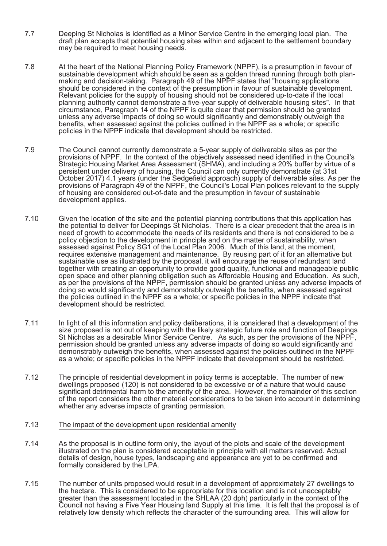- 7.7 Deeping St Nicholas is identified as a Minor Service Centre in the emerging local plan. The draft plan accepts that potential housing sites within and adjacent to the settlement boundary may be required to meet housing needs.
- 7.8 At the heart of the National Planning Policy Framework (NPPF), is a presumption in favour of sustainable development which should be seen as a golden thread running through both planmaking and decision-taking. Paragraph 49 of the NPPF states that "housing applications should be considered in the context of the presumption in favour of sustainable development. Relevant policies for the supply of housing should not be considered up-to-date if the local planning authority cannot demonstrate a five-year supply of deliverable housing sites". In that circumstance, Paragraph 14 of the NPPF is quite clear that permission should be granted unless any adverse impacts of doing so would significantly and demonstrably outweigh the benefits, when assessed against the policies outlined in the NPPF as a whole; or specific policies in the NPPF indicate that development should be restricted.
- 7.9 The Council cannot currently demonstrate a 5-year supply of deliverable sites as per the provisions of NPPF. In the context of the objectively assessed need identified in the Council's Strategic Housing Market Area Assessment (SHMA), and including a 20% buffer by virtue of a persistent under delivery of housing, the Council can only currently demonstrate (at 31st October 2017) 4.1 years (under the Sedgefield approach) supply of deliverable sites. As per the provisions of Paragraph 49 of the NPPF, the Council's Local Plan polices relevant to the supply of housing are considered out-of-date and the presumption in favour of sustainable development applies.
- 7.10 Given the location of the site and the potential planning contributions that this application has the potential to deliver for Deepings St Nicholas. There is a clear precedent that the area is in need of growth to accommodate the needs of its residents and there is not considered to be a policy objection to the development in principle and on the matter of sustainability, when assessed against Policy SG1 of the Local Plan 2006. Much of this land, at the moment, requires extensive management and maintenance. By reusing part of it for an alternative but sustainable use as illustrated by the proposal, it will encourage the reuse of redundant land together with creating an opportunity to provide good quality, functional and manageable public open space and other planning obligation such as Affordable Housing and Education. As such, as per the provisions of the NPPF, permission should be granted unless any adverse impacts of doing so would significantly and demonstrably outweigh the benefits, when assessed against the policies outlined in the NPPF as a whole; or specific policies in the NPPF indicate that development should be restricted.
- 7.11 In light of all this information and policy deliberations, it is considered that a development of the size proposed is not out of keeping with the likely strategic future role and function of Deepings St Nicholas as a desirable Minor Service Centre. As such, as per the provisions of the NPPF, permission should be granted unless any adverse impacts of doing so would significantly and demonstrably outweigh the benefits, when assessed against the policies outlined in the NPPF as a whole; or specific policies in the NPPF indicate that development should be restricted.
- 7.12 The principle of residential development in policy terms is acceptable. The number of new dwellings proposed (120) is not considered to be excessive or of a nature that would cause significant detrimental harm to the amenity of the area. However, the remainder of this section of the report considers the other material considerations to be taken into account in determining whether any adverse impacts of granting permission.
- 7.13 The impact of the development upon residential amenity
- 7.14 As the proposal is in outline form only, the layout of the plots and scale of the development illustrated on the plan is considered acceptable in principle with all matters reserved. Actual details of design, house types, landscaping and appearance are yet to be confirmed and formally considered by the LPA.
- 7.15 The number of units proposed would result in a development of approximately 27 dwellings to the hectare. This is considered to be appropriate for this location and is not unacceptably greater than the assessment located in the SHLAA (20 dph) particularly in the context of the Council not having a Five Year Housing land Supply at this time. It is felt that the proposal is of relatively low density which reflects the character of the surrounding area. This will allow for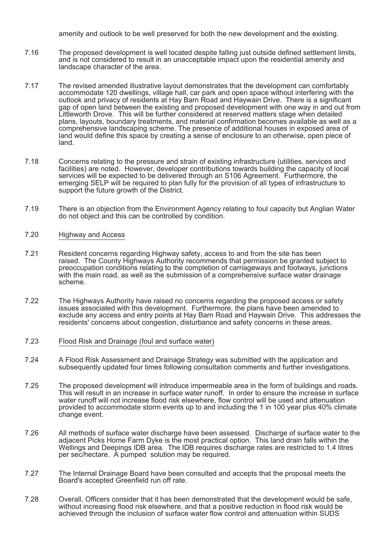amenity and outlook to be well preserved for both the new development and the existing.

- 7.16 The proposed development is well located despite falling just outside defined settlement limits, and is not considered to result in an unacceptable impact upon the residential amenity and landscape character of the area.
- 7.17 The revised amended illustrative layout demonstrates that the development can comfortably accommodate 120 dwellings, village hall, car park and open space without interfering with the outlook and privacy of residents at Hay Barn Road and Haywain Drive. There is a significant gap of open land between the existing and proposed development with one way in and out from Littleworth Drove. This will be further considered at reserved matters stage when detailed plans, layouts, boundary treatments, and material confirmation becomes available as well as a comprehensive landscaping scheme. The presence of additional houses in exposed area of land would define this space by creating a sense of enclosure to an otherwise, open piece of land.
- 7.18 Concerns relating to the pressure and strain of existing infrastructure (utilities, services and facilities) are noted. However, developer contributions towards building the capacity of local services will be expected to be delivered through an S106 Agreement. Furthermore, the emerging SELP will be required to plan fully for the provision of all types of infrastructure to support the future growth of the District.
- 7.19 There is an objection from the Environment Agency relating to foul capacity but Anglian Water do not object and this can be controlled by condition.
- 7.20 Highway and Access
- 7.21 Resident concerns regarding Highway safety, access to and from the site has been raised. The County Highways Authority recommends that permission be granted subject to preoccupation conditions relating to the completion of carriageways and footways, junctions with the main road, as well as the submission of a comprehensive surface water drainage scheme.
- 7.22 The Highways Authority have raised no concerns regarding the proposed access or safety issues associated with this development. Furthermore, the plans have been amended to exclude any access and entry points at Hay Barn Road and Haywain Drive. This addresses the residents' concerns about congestion, disturbance and safety concerns in these areas.
- 7.23 Flood Risk and Drainage (foul and surface water)
- 7.24 A Flood Risk Assessment and Drainage Strategy was submitted with the application and subsequently updated four times following consultation comments and further investigations.
- 7.25 The proposed development will introduce impermeable area in the form of buildings and roads. This will result in an increase in surface water runoff. In order to ensure the increase in surface water runoff will not increase flood risk elsewhere, flow control will be used and attenuation provided to accommodate storm events up to and including the 1 in 100 year plus 40% climate change event.
- 7.26 All methods of surface water discharge have been assessed. Discharge of surface water to the adjacent Picks Home Farm Dyke is the most practical option. This land drain falls within the Wellings and Deepings IDB area. The IDB requires discharge rates are restricted to 1.4 litres per sec/hectare. A pumped solution may be required.
- 7.27 The Internal Drainage Board have been consulted and accepts that the proposal meets the Board's accepted Greenfield run off rate.
- 7.28 Overall, Officers consider that it has been demonstrated that the development would be safe, without increasing flood risk elsewhere, and that a positive reduction in flood risk would be achieved through the inclusion of surface water flow control and attenuation within SUDS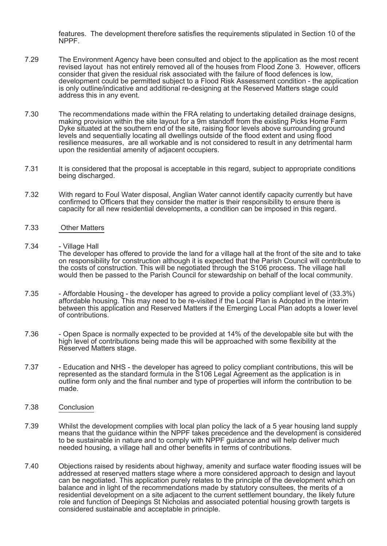features. The development therefore satisfies the requirements stipulated in Section 10 of the NPPF.

- 7.29 The Environment Agency have been consulted and object to the application as the most recent revised layout has not entirely removed all of the houses from Flood Zone 3. However, officers consider that given the residual risk associated with the failure of flood defences is low, development could be permitted subject to a Flood Risk Assessment condition - the application is only outline/indicative and additional re-designing at the Reserved Matters stage could address this in any event.
- 7.30 The recommendations made within the FRA relating to undertaking detailed drainage designs, making provision within the site layout for a 9m standoff from the existing Picks Home Farm Dyke situated at the southern end of the site, raising floor levels above surrounding ground levels and sequentially locating all dwellings outside of the flood extent and using flood resilience measures, are all workable and is not considered to result in any detrimental harm upon the residential amenity of adjacent occupiers.
- 7.31 It is considered that the proposal is acceptable in this regard, subject to appropriate conditions being discharged.
- 7.32 With regard to Foul Water disposal, Anglian Water cannot identify capacity currently but have confirmed to Officers that they consider the matter is their responsibility to ensure there is capacity for all new residential developments, a condition can be imposed in this regard.
- 7.33 Other Matters
- 7.34 Village Hall

The developer has offered to provide the land for a village hall at the front of the site and to take on responsibility for construction although it is expected that the Parish Council will contribute to the costs of construction. This will be negotiated through the S106 process. The village hall would then be passed to the Parish Council for stewardship on behalf of the local community.

- 7.35 Affordable Housing the developer has agreed to provide a policy compliant level of (33.3%) affordable housing. This may need to be re-visited if the Local Plan is Adopted in the interim between this application and Reserved Matters if the Emerging Local Plan adopts a lower level of contributions.
- 7.36 Open Space is normally expected to be provided at 14% of the developable site but with the high level of contributions being made this will be approached with some flexibility at the Reserved Matters stage.
- 7.37 Education and NHS the developer has agreed to policy compliant contributions, this will be represented as the standard formula in the S106 Legal Agreement as the application is in outline form only and the final number and type of properties will inform the contribution to be made.
- 7.38 Conclusion
- 7.39 Whilst the development complies with local plan policy the lack of a 5 year housing land supply means that the guidance within the NPPF takes precedence and the development is considered to be sustainable in nature and to comply with NPPF guidance and will help deliver much needed housing, a village hall and other benefits in terms of contributions.
- 7.40 Objections raised by residents about highway, amenity and surface water flooding issues will be addressed at reserved matters stage where a more considered approach to design and layout can be negotiated. This application purely relates to the principle of the development which on balance and in light of the recommendations made by statutory consultees, the merits of a residential development on a site adjacent to the current settlement boundary, the likely future role and function of Deepings St Nicholas and associated potential housing growth targets is considered sustainable and acceptable in principle.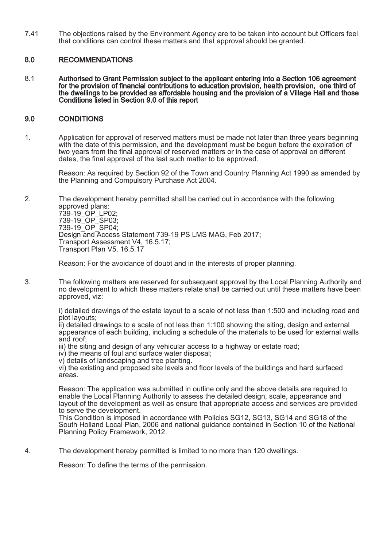7.41 The objections raised by the Environment Agency are to be taken into account but Officers feel that conditions can control these matters and that approval should be granted.

## 8.0 RECOMMENDATIONS

8.1 Authorised to Grant Permission subject to the applicant entering into a Section 106 agreement for the provision of financial contributions to education provision, health provision, one third of the dwellings to be provided as affordable housing and the provision of a Village Hall and those Conditions listed in Section 9.0 of this report

## 9.0 CONDITIONS

1. Application for approval of reserved matters must be made not later than three years beginning with the date of this permission, and the development must be begun before the expiration of two years from the final approval of reserved matters or in the case of approval on different dates, the final approval of the last such matter to be approved.

Reason: As required by Section 92 of the Town and Country Planning Act 1990 as amended by the Planning and Compulsory Purchase Act 2004.

2. The development hereby permitted shall be carried out in accordance with the following approved plans: 739-19\_OP\_LP02; 739-19\_OP\_SP03; 739-19\_OP\_SP04; Design and Access Statement 739-19 PS LMS MAG, Feb 2017; Transport Assessment V4, 16.5.17; Transport Plan V5, 16.5.17

Reason: For the avoidance of doubt and in the interests of proper planning.

3. The following matters are reserved for subsequent approval by the Local Planning Authority and no development to which these matters relate shall be carried out until these matters have been approved, viz:

i) detailed drawings of the estate layout to a scale of not less than 1:500 and including road and plot layouts;

ii) detailed drawings to a scale of not less than 1:100 showing the siting, design and external appearance of each building, including a schedule of the materials to be used for external walls and roof;

iii) the siting and design of any vehicular access to a highway or estate road;

iv) the means of foul and surface water disposal;

v) details of landscaping and tree planting.

vi) the existing and proposed site levels and floor levels of the buildings and hard surfaced areas.

Reason: The application was submitted in outline only and the above details are required to enable the Local Planning Authority to assess the detailed design, scale, appearance and layout of the development as well as ensure that appropriate access and services are provided to serve the development.

This Condition is imposed in accordance with Policies SG12, SG13, SG14 and SG18 of the South Holland Local Plan, 2006 and national guidance contained in Section 10 of the National Planning Policy Framework, 2012.

4. The development hereby permitted is limited to no more than 120 dwellings.

Reason: To define the terms of the permission.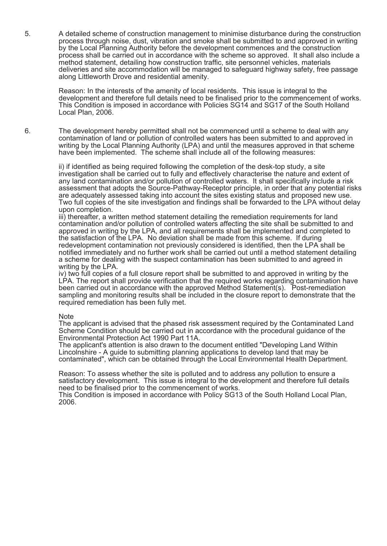5. A detailed scheme of construction management to minimise disturbance during the construction process through noise, dust, vibration and smoke shall be submitted to and approved in writing by the Local Planning Authority before the development commences and the construction process shall be carried out in accordance with the scheme so approved. It shall also include a method statement, detailing how construction traffic, site personnel vehicles, materials deliveries and site accommodation will be managed to safeguard highway safety, free passage along Littleworth Drove and residential amenity.

Reason: In the interests of the amenity of local residents. This issue is integral to the development and therefore full details need to be finalised prior to the commencement of works. This Condition is imposed in accordance with Policies SG14 and SG17 of the South Holland Local Plan, 2006.

6. The development hereby permitted shall not be commenced until a scheme to deal with any contamination of land or pollution of controlled waters has been submitted to and approved in writing by the Local Planning Authority (LPA) and until the measures approved in that scheme have been implemented. The scheme shall include all of the following measures:

> ii) if identified as being required following the completion of the desk-top study, a site investigation shall be carried out to fully and effectively characterise the nature and extent of any land contamination and/or pollution of controlled waters. It shall specifically include a risk assessment that adopts the Source-Pathway-Receptor principle, in order that any potential risks are adequately assessed taking into account the sites existing status and proposed new use. Two full copies of the site investigation and findings shall be forwarded to the LPA without delay upon completion.

iii) thereafter, a written method statement detailing the remediation requirements for land contamination and/or pollution of controlled waters affecting the site shall be submitted to and approved in writing by the LPA, and all requirements shall be implemented and completed to the satisfaction of the LPA. No deviation shall be made from this scheme. If during redevelopment contamination not previously considered is identified, then the LPA shall be notified immediately and no further work shall be carried out until a method statement detailing a scheme for dealing with the suspect contamination has been submitted to and agreed in writing by the LPA.

iv) two full copies of a full closure report shall be submitted to and approved in writing by the LPA. The report shall provide verification that the required works regarding contamination have been carried out in accordance with the approved Method Statement(s). Post-remediation sampling and monitoring results shall be included in the closure report to demonstrate that the required remediation has been fully met.

#### **Note**

The applicant is advised that the phased risk assessment required by the Contaminated Land Scheme Condition should be carried out in accordance with the procedural guidance of the Environmental Protection Act 1990 Part 11A.

The applicant's attention is also drawn to the document entitled "Developing Land Within Lincolnshire - A guide to submitting planning applications to develop land that may be contaminated", which can be obtained through the Local Environmental Health Department.

Reason: To assess whether the site is polluted and to address any pollution to ensure a satisfactory development. This issue is integral to the development and therefore full details need to be finalised prior to the commencement of works.

This Condition is imposed in accordance with Policy SG13 of the South Holland Local Plan, 2006.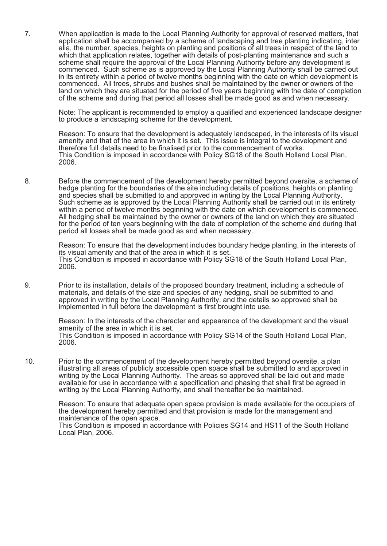7. When application is made to the Local Planning Authority for approval of reserved matters, that application shall be accompanied by a scheme of landscaping and tree planting indicating, inter alia, the number, species, heights on planting and positions of all trees in respect of the land to which that application relates, together with details of post-planting maintenance and such a scheme shall require the approval of the Local Planning Authority before any development is commenced. Such scheme as is approved by the Local Planning Authority shall be carried out in its entirety within a period of twelve months beginning with the date on which development is commenced. All trees, shrubs and bushes shall be maintained by the owner or owners of the land on which they are situated for the period of five years beginning with the date of completion of the scheme and during that period all losses shall be made good as and when necessary.

Note: The applicant is recommended to employ a qualified and experienced landscape designer to produce a landscaping scheme for the development.

Reason: To ensure that the development is adequately landscaped, in the interests of its visual amenity and that of the area in which it is set. This issue is integral to the development and therefore full details need to be finalised prior to the commencement of works. This Condition is imposed in accordance with Policy SG18 of the South Holland Local Plan, 2006.

8. Before the commencement of the development hereby permitted beyond oversite, a scheme of hedge planting for the boundaries of the site including details of positions, heights on planting and species shall be submitted to and approved in writing by the Local Planning Authority. Such scheme as is approved by the Local Planning Authority shall be carried out in its entirety within a period of twelve months beginning with the date on which development is commenced. All hedging shall be maintained by the owner or owners of the land on which they are situated for the period of ten years beginning with the date of completion of the scheme and during that period all losses shall be made good as and when necessary.

Reason: To ensure that the development includes boundary hedge planting, in the interests of its visual amenity and that of the area in which it is set. This Condition is imposed in accordance with Policy SG18 of the South Holland Local Plan, 2006.

9. Prior to its installation, details of the proposed boundary treatment, including a schedule of materials, and details of the size and species of any hedging, shall be submitted to and approved in writing by the Local Planning Authority, and the details so approved shall be implemented in full before the development is first brought into use.

> Reason: In the interests of the character and appearance of the development and the visual amenity of the area in which it is set. This Condition is imposed in accordance with Policy SG14 of the South Holland Local Plan, 2006.

10. Prior to the commencement of the development hereby permitted beyond oversite, a plan illustrating all areas of publicly accessible open space shall be submitted to and approved in writing by the Local Planning Authority. The areas so approved shall be laid out and made available for use in accordance with a specification and phasing that shall first be agreed in writing by the Local Planning Authority, and shall thereafter be so maintained.

> Reason: To ensure that adequate open space provision is made available for the occupiers of the development hereby permitted and that provision is made for the management and maintenance of the open space.

This Condition is imposed in accordance with Policies SG14 and HS11 of the South Holland Local Plan, 2006.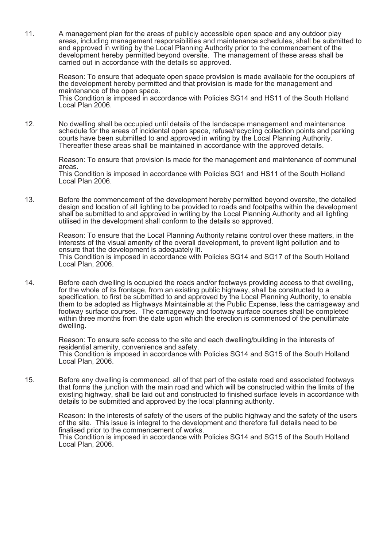11. A management plan for the areas of publicly accessible open space and any outdoor play areas, including management responsibilities and maintenance schedules, shall be submitted to and approved in writing by the Local Planning Authority prior to the commencement of the development hereby permitted beyond oversite. The management of these areas shall be carried out in accordance with the details so approved.

Reason: To ensure that adequate open space provision is made available for the occupiers of the development hereby permitted and that provision is made for the management and maintenance of the open space.

This Condition is imposed in accordance with Policies SG14 and HS11 of the South Holland Local Plan 2006.

12. No dwelling shall be occupied until details of the landscape management and maintenance schedule for the areas of incidental open space, refuse/recycling collection points and parking courts have been submitted to and approved in writing by the Local Planning Authority. Thereafter these areas shall be maintained in accordance with the approved details.

> Reason: To ensure that provision is made for the management and maintenance of communal areas. This Condition is imposed in accordance with Policies SG1 and HS11 of the South Holland

Local Plan 2006.

13. Before the commencement of the development hereby permitted beyond oversite, the detailed design and location of all lighting to be provided to roads and footpaths within the development shall be submitted to and approved in writing by the Local Planning Authority and all lighting utilised in the development shall conform to the details so approved.

Reason: To ensure that the Local Planning Authority retains control over these matters, in the interests of the visual amenity of the overall development, to prevent light pollution and to ensure that the development is adequately lit. This Condition is imposed in accordance with Policies SG14 and SG17 of the South Holland Local Plan, 2006.

14. Before each dwelling is occupied the roads and/or footways providing access to that dwelling, for the whole of its frontage, from an existing public highway, shall be constructed to a specification, to first be submitted to and approved by the Local Planning Authority, to enable them to be adopted as Highways Maintainable at the Public Expense, less the carriageway and footway surface courses. The carriageway and footway surface courses shall be completed within three months from the date upon which the erection is commenced of the penultimate dwelling.

Reason: To ensure safe access to the site and each dwelling/building in the interests of residential amenity, convenience and safety. This Condition is imposed in accordance with Policies SG14 and SG15 of the South Holland Local Plan, 2006.

15. Before any dwelling is commenced, all of that part of the estate road and associated footways that forms the junction with the main road and which will be constructed within the limits of the existing highway, shall be laid out and constructed to finished surface levels in accordance with details to be submitted and approved by the local planning authority.

Reason: In the interests of safety of the users of the public highway and the safety of the users of the site. This issue is integral to the development and therefore full details need to be finalised prior to the commencement of works. This Condition is imposed in accordance with Policies SG14 and SG15 of the South Holland Local Plan, 2006.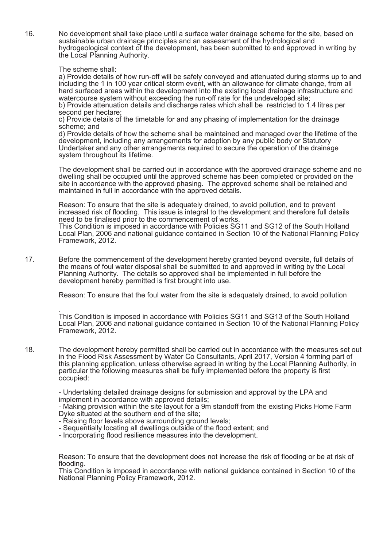16. No development shall take place until a surface water drainage scheme for the site, based on sustainable urban drainage principles and an assessment of the hydrological and hydrogeological context of the development, has been submitted to and approved in writing by the Local Planning Authority.

The scheme shall:

a) Provide details of how run-off will be safely conveyed and attenuated during storms up to and including the 1 in 100 year critical storm event, with an allowance for climate change, from all hard surfaced areas within the development into the existing local drainage infrastructure and watercourse system without exceeding the run-off rate for the undeveloped site; b) Provide attenuation details and discharge rates which shall be restricted to 1.4 litres per

second per hectare;

c) Provide details of the timetable for and any phasing of implementation for the drainage scheme; and

d) Provide details of how the scheme shall be maintained and managed over the lifetime of the development, including any arrangements for adoption by any public body or Statutory Undertaker and any other arrangements required to secure the operation of the drainage system throughout its lifetime.

The development shall be carried out in accordance with the approved drainage scheme and no dwelling shall be occupied until the approved scheme has been completed or provided on the site in accordance with the approved phasing. The approved scheme shall be retained and maintained in full in accordance with the approved details.

Reason: To ensure that the site is adequately drained, to avoid pollution, and to prevent increased risk of flooding. This issue is integral to the development and therefore full details need to be finalised prior to the commencement of works. This Condition is imposed in accordance with Policies SG11 and SG12 of the South Holland

Local Plan, 2006 and national guidance contained in Section 10 of the National Planning Policy Framework, 2012.

17. Before the commencement of the development hereby granted beyond oversite, full details of the means of foul water disposal shall be submitted to and approved in writing by the Local Planning Authority. The details so approved shall be implemented in full before the development hereby permitted is first brought into use.

Reason: To ensure that the foul water from the site is adequately drained, to avoid pollution

. This Condition is imposed in accordance with Policies SG11 and SG13 of the South Holland Local Plan, 2006 and national guidance contained in Section 10 of the National Planning Policy Framework, 2012.

18. The development hereby permitted shall be carried out in accordance with the measures set out in the Flood Risk Assessment by Water Co Consultants, April 2017, Version 4 forming part of this planning application, unless otherwise agreed in writing by the Local Planning Authority, in particular the following measures shall be fully implemented before the property is first occupied:

- Undertaking detailed drainage designs for submission and approval by the LPA and implement in accordance with approved details;

- Making provision within the site layout for a 9m standoff from the existing Picks Home Farm Dyke situated at the southern end of the site;

- Raising floor levels above surrounding ground levels;
- Sequentially locating all dwellings outside of the flood extent; and
- Incorporating flood resilience measures into the development.

Reason: To ensure that the development does not increase the risk of flooding or be at risk of flooding.

This Condition is imposed in accordance with national guidance contained in Section 10 of the National Planning Policy Framework, 2012.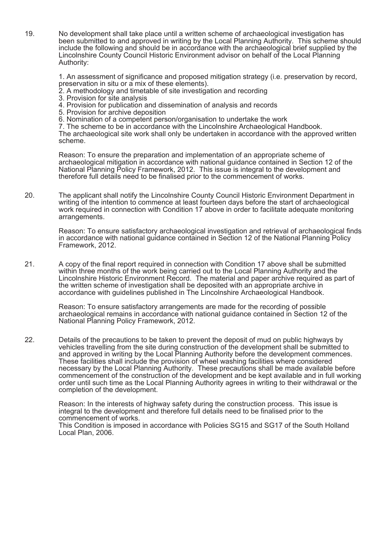19. No development shall take place until a written scheme of archaeological investigation has been submitted to and approved in writing by the Local Planning Authority. This scheme should include the following and should be in accordance with the archaeological brief supplied by the Lincolnshire County Council Historic Environment advisor on behalf of the Local Planning Authority:

1. An assessment of significance and proposed mitigation strategy (i.e. preservation by record, preservation in situ or a mix of these elements).

- 2. A methodology and timetable of site investigation and recording
- 3. Provision for site analysis
- 4. Provision for publication and dissemination of analysis and records
- 5. Provision for archive deposition
- 6. Nomination of a competent person/organisation to undertake the work

7. The scheme to be in accordance with the Lincolnshire Archaeological Handbook. The archaeological site work shall only be undertaken in accordance with the approved written

scheme.

Reason: To ensure the preparation and implementation of an appropriate scheme of archaeological mitigation in accordance with national guidance contained in Section 12 of the National Planning Policy Framework, 2012. This issue is integral to the development and therefore full details need to be finalised prior to the commencement of works.

20. The applicant shall notify the Lincolnshire County Council Historic Environment Department in writing of the intention to commence at least fourteen days before the start of archaeological work required in connection with Condition 17 above in order to facilitate adequate monitoring arrangements.

> Reason: To ensure satisfactory archaeological investigation and retrieval of archaeological finds in accordance with national guidance contained in Section 12 of the National Planning Policy Framework, 2012.

21. A copy of the final report required in connection with Condition 17 above shall be submitted within three months of the work being carried out to the Local Planning Authority and the Lincolnshire Historic Environment Record. The material and paper archive required as part of the written scheme of investigation shall be deposited with an appropriate archive in accordance with guidelines published in The Lincolnshire Archaeological Handbook.

> Reason: To ensure satisfactory arrangements are made for the recording of possible archaeological remains in accordance with national guidance contained in Section 12 of the National Planning Policy Framework, 2012.

22. Details of the precautions to be taken to prevent the deposit of mud on public highways by vehicles travelling from the site during construction of the development shall be submitted to and approved in writing by the Local Planning Authority before the development commences. These facilities shall include the provision of wheel washing facilities where considered necessary by the Local Planning Authority. These precautions shall be made available before commencement of the construction of the development and be kept available and in full working order until such time as the Local Planning Authority agrees in writing to their withdrawal or the completion of the development.

> Reason: In the interests of highway safety during the construction process. This issue is integral to the development and therefore full details need to be finalised prior to the commencement of works.

This Condition is imposed in accordance with Policies SG15 and SG17 of the South Holland Local Plan, 2006.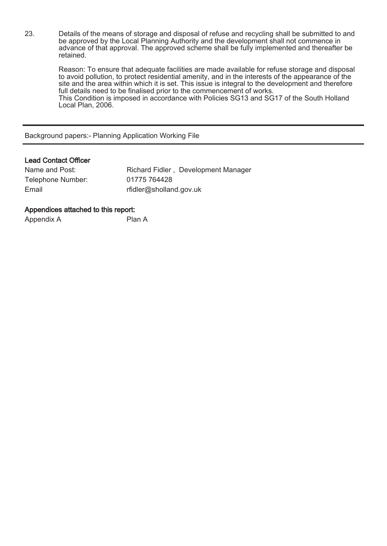23. Details of the means of storage and disposal of refuse and recycling shall be submitted to and be approved by the Local Planning Authority and the development shall not commence in advance of that approval. The approved scheme shall be fully implemented and thereafter be retained.

Reason: To ensure that adequate facilities are made available for refuse storage and disposal to avoid pollution, to protect residential amenity, and in the interests of the appearance of the site and the area within which it is set. This issue is integral to the development and therefore full details need to be finalised prior to the commencement of works. This Condition is imposed in accordance with Policies SG13 and SG17 of the South Holland Local Plan, 2006.

Background papers:- Planning Application Working File

## Lead Contact Officer

| Name and Post:    | Richard Fidler, Development Manager |
|-------------------|-------------------------------------|
| Telephone Number: | 01775 764428                        |
| Email             | rfidler@sholland.gov.uk             |

## Appendices attached to this report:

Appendix A Plan A